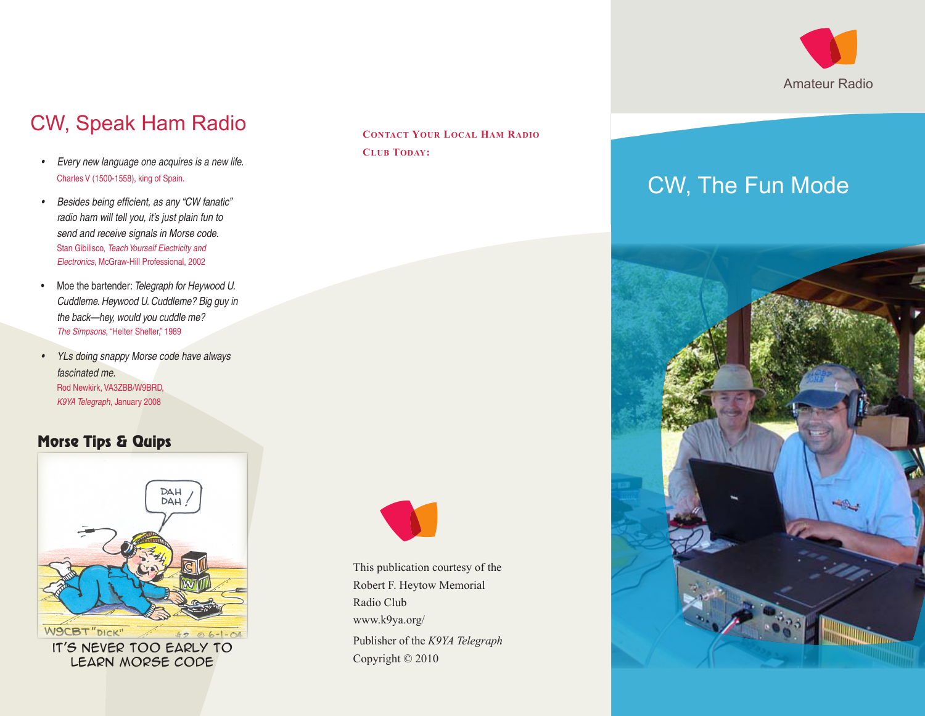

## CW, Speak Ham Radio

- • *Every new language one acquires is a new life.* Charles V (1500-1558), king of Spain.
- • *Besides being efficient, as any "CW fanatic" radio ham will tell you, it's just plain fun to send and receive signals in Morse code.* Stan Gibilisco, *Teach Yourself Electricity and Electronics*, McGraw-Hill Professional, 2002
- • Moe the bartender: *Telegraph for Heywood U. Cuddleme. Heywood U. Cuddleme? Big guy in the back—hey, would you cuddle me? The Simpsons*, "Helter Shelter," 1989
- • *YLs doing snappy Morse code have always fascinated me.* Rod Newkirk, VA3ZBB/W9BRD, *K9YA Telegraph*, January 2008

### Morse Tips & Quips



learn morse code

**Contact Your Local Ham Radio Club Today:**



This publication courtesy of the Robert F. Heytow Memorial Radio Club [www.k9ya.org/](http://www.k9ya.org/) Publisher of the *K9YA Telegraph* Copyright © 2010

# CW, The Fun Mode